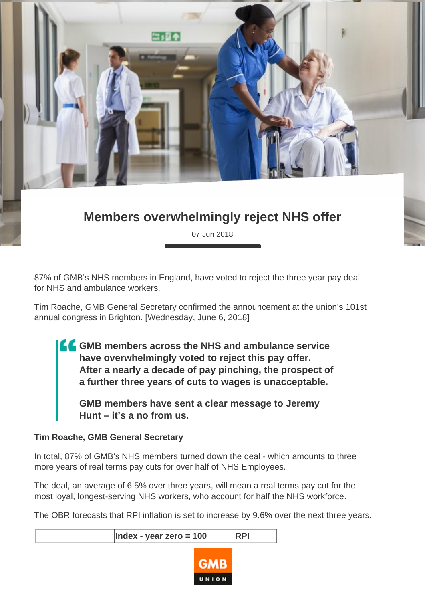

## **Members overwhelmingly reject NHS offer**

07 Jun 2018

87% of GMB's NHS members in England, have voted to reject the three year pay deal for NHS and ambulance workers.

Tim Roache, GMB General Secretary confirmed the announcement at the union's 101st annual congress in Brighton. [Wednesday, June 6, 2018]

**GMB members across the NHS and ambulance service have overwhelmingly voted to reject this pay offer. After a nearly a decade of pay pinching, the prospect of a further three years of cuts to wages is unacceptable.**

**GMB members have sent a clear message to Jeremy Hunt – it's a no from us.**

## **Tim Roache, GMB General Secretary**

In total, 87% of GMB's NHS members turned down the deal - which amounts to three more years of real terms pay cuts for over half of NHS Employees.

The deal, an average of 6.5% over three years, will mean a real terms pay cut for the most loyal, longest-serving NHS workers, who account for half the NHS workforce.

The OBR forecasts that RPI inflation is set to increase by 9.6% over the next three years.